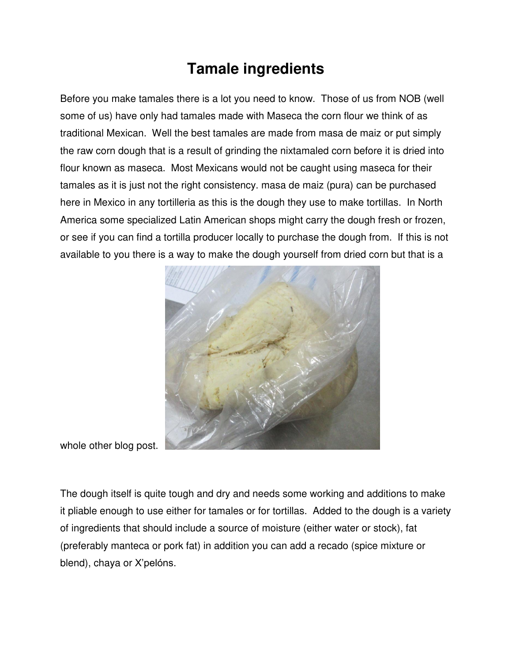## **Tamale ingredients**

Before you make tamales there is a lot you need to know. Those of us from NOB (well some of us) have only had tamales made with Maseca the corn flour we think of as traditional Mexican. Well the best tamales are made from masa de maiz or put simply the raw corn dough that is a result of grinding the nixtamaled corn before it is dried into flour known as maseca. Most Mexicans would not be caught using maseca for their tamales as it is just not the right consistency. masa de maiz (pura) can be purchased here in Mexico in any tortilleria as this is the dough they use to make tortillas. In North America some specialized Latin American shops might carry the dough fresh or frozen, or see if you can find a tortilla producer locally to purchase the dough from. If this is not available to you there is a way to make the dough yourself from dried corn but that is a



whole other blog post.

The dough itself is quite tough and dry and needs some working and additions to make it pliable enough to use either for tamales or for tortillas. Added to the dough is a variety of ingredients that should include a source of moisture (either water or stock), fat (preferably manteca or pork fat) in addition you can add a recado (spice mixture or blend), chaya or X'pelóns.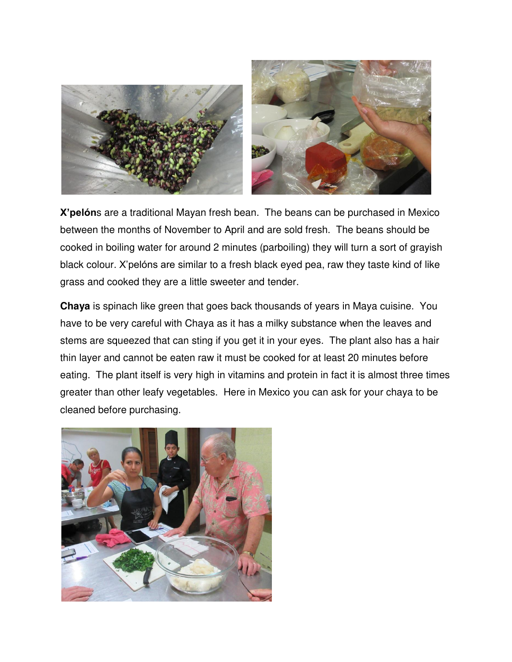

**X'pelón**s are a traditional Mayan fresh bean. The beans can be purchased in Mexico between the months of November to April and are sold fresh. The beans should be cooked in boiling water for around 2 minutes (parboiling) they will turn a sort of grayish black colour. X'pelóns are similar to a fresh black eyed pea, raw they taste kind of like grass and cooked they are a little sweeter and tender.

**Chaya** is spinach like green that goes back thousands of years in Maya cuisine. You have to be very careful with Chaya as it has a milky substance when the leaves and stems are squeezed that can sting if you get it in your eyes. The plant also has a hair thin layer and cannot be eaten raw it must be cooked for at least 20 minutes before eating. The plant itself is very high in vitamins and protein in fact it is almost three times greater than other leafy vegetables. Here in Mexico you can ask for your chaya to be cleaned before purchasing.

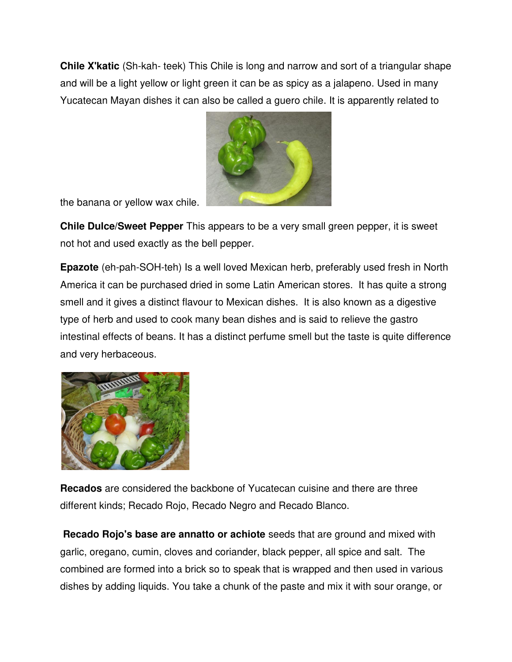**Chile X'katic** (Sh-kah- teek) This Chile is long and narrow and sort of a triangular shape and will be a light yellow or light green it can be as spicy as a jalapeno. Used in many Yucatecan Mayan dishes it can also be called a guero chile. It is apparently related to



the banana or yellow wax chile.

**Chile Dulce/Sweet Pepper** This appears to be a very small green pepper, it is sweet not hot and used exactly as the bell pepper.

**Epazote** (eh-pah-SOH-teh) Is a well loved Mexican herb, preferably used fresh in North America it can be purchased dried in some Latin American stores. It has quite a strong smell and it gives a distinct flavour to Mexican dishes. It is also known as a digestive type of herb and used to cook many bean dishes and is said to relieve the gastro intestinal effects of beans. It has a distinct perfume smell but the taste is quite difference and very herbaceous.



**Recados** are considered the backbone of Yucatecan cuisine and there are three different kinds; Recado Rojo, Recado Negro and Recado Blanco.

**Recado Rojo's base are annatto or achiote** seeds that are ground and mixed with garlic, oregano, cumin, cloves and coriander, black pepper, all spice and salt. The combined are formed into a brick so to speak that is wrapped and then used in various dishes by adding liquids. You take a chunk of the paste and mix it with sour orange, or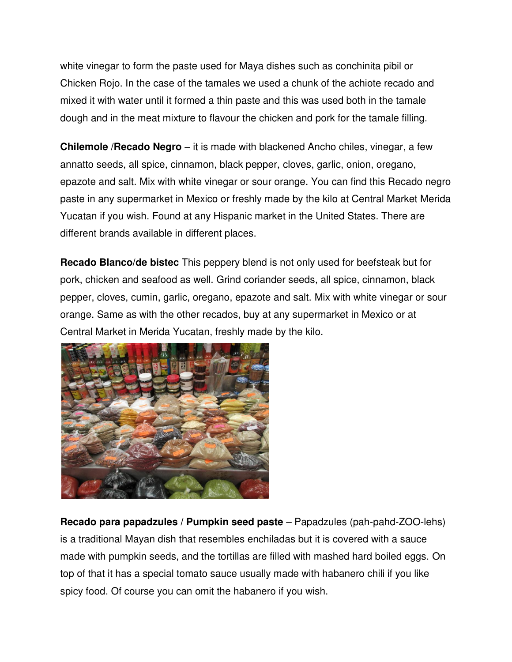white vinegar to form the paste used for Maya dishes such as conchinita pibil or Chicken Rojo. In the case of the tamales we used a chunk of the achiote recado and mixed it with water until it formed a thin paste and this was used both in the tamale dough and in the meat mixture to flavour the chicken and pork for the tamale filling.

**Chilemole /Recado Negro** – it is made with blackened Ancho chiles, vinegar, a few annatto seeds, all spice, cinnamon, black pepper, cloves, garlic, onion, oregano, epazote and salt. Mix with white vinegar or sour orange. You can find this Recado negro paste in any supermarket in Mexico or freshly made by the kilo at Central Market Merida Yucatan if you wish. Found at any Hispanic market in the United States. There are different brands available in different places.

**Recado Blanco/de bistec** This peppery blend is not only used for beefsteak but for pork, chicken and seafood as well. Grind coriander seeds, all spice, cinnamon, black pepper, cloves, cumin, garlic, oregano, epazote and salt. Mix with white vinegar or sour orange. Same as with the other recados, buy at any supermarket in Mexico or at Central Market in Merida Yucatan, freshly made by the kilo.



**Recado para papadzules / Pumpkin seed paste** – Papadzules (pah-pahd-ZOO-lehs) is a traditional Mayan dish that resembles enchiladas but it is covered with a sauce made with pumpkin seeds, and the tortillas are filled with mashed hard boiled eggs. On top of that it has a special tomato sauce usually made with habanero chili if you like spicy food. Of course you can omit the habanero if you wish.